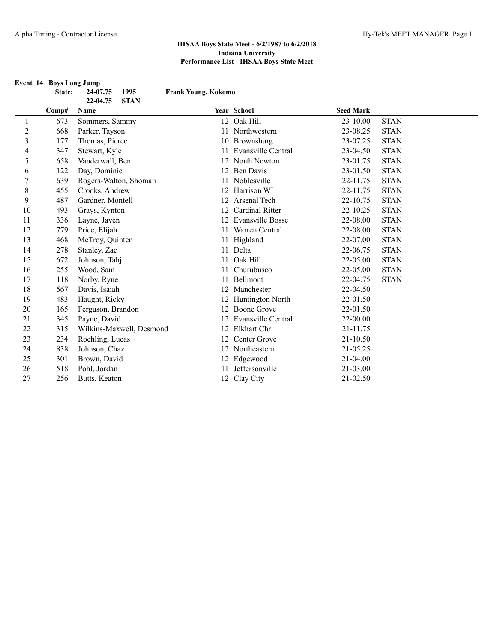|                | <b>Event 14 Boys Long Jump</b> |                                 |                     |                        |                  |             |
|----------------|--------------------------------|---------------------------------|---------------------|------------------------|------------------|-------------|
|                | State:                         | 1995<br>24-07.75                | Frank Young, Kokomo |                        |                  |             |
|                | Comp#                          | <b>STAN</b><br>22-04.75<br>Name |                     | Year School            | <b>Seed Mark</b> |             |
| 1              | 673                            | Sommers, Sammy                  |                     | 12 Oak Hill            | $23 - 10.00$     | <b>STAN</b> |
| $\overline{c}$ | 668                            | Parker, Tayson                  |                     | 11 Northwestern        | 23-08.25         | <b>STAN</b> |
| 3              | 177                            | Thomas, Pierce                  |                     | 10 Brownsburg          | 23-07.25         | <b>STAN</b> |
| 4              | 347                            | Stewart, Kyle                   |                     | 11 Evansville Central  | $23-04.50$       | <b>STAN</b> |
| 5              | 658                            | Vanderwall, Ben                 |                     | 12 North Newton        | 23-01.75         | <b>STAN</b> |
| 6              | 122                            | Day, Dominic                    |                     | 12 Ben Davis           | 23-01.50         | <b>STAN</b> |
| 7              | 639                            | Rogers-Walton, Shomari          |                     | 11 Noblesville         | 22-11.75         | <b>STAN</b> |
| 8              | 455                            | Crooks, Andrew                  |                     | 12 Harrison WL         | 22-11.75         | <b>STAN</b> |
| 9              | 487                            | Gardner, Montell                |                     | 12 Arsenal Tech        | 22-10.75         | <b>STAN</b> |
| 10             | 493                            | Grays, Kynton                   | 12                  | <b>Cardinal Ritter</b> | 22-10.25         | <b>STAN</b> |
| 11             | 336                            | Layne, Javen                    |                     | 12 Evansville Bosse    | 22-08.00         | <b>STAN</b> |
| 12             | 779                            | Price, Elijah                   | 11                  | Warren Central         | 22-08.00         | <b>STAN</b> |
| 13             | 468                            | McTroy, Quinten                 | 11                  | Highland               | 22-07.00         | <b>STAN</b> |
| 14             | 278                            | Stanley, Zac                    | 11                  | Delta                  | 22-06.75         | <b>STAN</b> |
| 15             | 672                            | Johnson, Tahj                   | 11                  | Oak Hill               | 22-05.00         | <b>STAN</b> |
| 16             | 255                            | Wood, Sam                       | 11                  | Churubusco             | 22-05.00         | <b>STAN</b> |
| 17             | 118                            | Norby, Ryne                     | 11                  | Bellmont               | 22-04.75         | <b>STAN</b> |
| 18             | 567                            | Davis, Isaiah                   |                     | 12 Manchester          | 22-04.50         |             |
| 19             | 483                            | Haught, Ricky                   |                     | 12 Huntington North    | 22-01.50         |             |
| 20             | 165                            | Ferguson, Brandon               | 12                  | <b>Boone Grove</b>     | 22-01.50         |             |
| 21             | 345                            | Payne, David                    |                     | 12 Evansville Central  | 22-00.00         |             |
| 22             | 315                            | Wilkins-Maxwell, Desmond        |                     | 12 Elkhart Chri        | 21-11.75         |             |
| 23             | 234                            | Roehling, Lucas                 |                     | 12 Center Grove        | 21-10.50         |             |
| 24             | 838                            | Johnson, Chaz                   |                     | 12 Northeastern        | 21-05.25         |             |
| 25             | 301                            | Brown, David                    |                     | 12 Edgewood            | 21-04.00         |             |
| 26             | 518                            | Pohl, Jordan                    | 11                  | Jeffersonville         | 21-03.00         |             |
| 27             | 256                            | Butts, Keaton                   |                     | 12 Clay City           | 21-02.50         |             |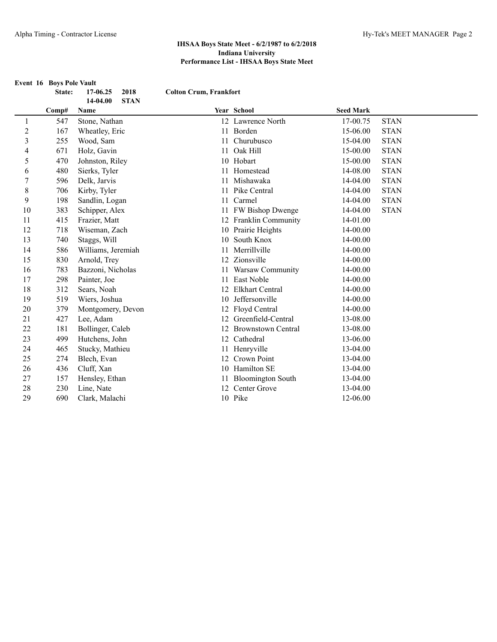**Event 16 Boys Pole Vault State: 17-06.25 2018 Colton Crum, Frankfort 14-04.00 STAN Comp# Name Year School Seed Mark** 1 547 Stone, Nathan 12 Lawrence North 17-00.75 STAN 2 167 Wheatley, Eric 11 Borden 15-06.00 STAN 3 255 Wood, Sam 11 Churubusco 15-04.00 STAN 4 671 Holz, Gavin 11 Oak Hill 15-00.00 STAN 5 470 Johnston, Riley 10 Hobart 15-00.00 STAN 6 480 Sierks, Tyler 11 Homestead 14-08.00 STAN 7 596 Delk, Jarvis 11 Mishawaka 14-04.00 STAN 8 706 Kirby, Tyler 11 Pike Central 14-04.00 STAN 9 198 Sandlin, Logan 11 Carmel 14-04.00 STAN 10 383 Schipper, Alex 11 FW Bishop Dwenge 14-04.00 STAN 11 415 Frazier, Matt 12 Franklin Community 14-01.00 12 718 Wiseman, Zach 10 Prairie Heights 14-00.00 13 740 Staggs, Will 10 South Knox 14-00.00 14 586 Williams, Jeremiah 11 Merrillville 14-00.00 15 830 Arnold, Trey 12 Zionsville 14-00.00 16 783 Bazzoni, Nicholas 11 Warsaw Community 14-00.00 17 298 Painter, Joe 11 East Noble 14-00.00 18 312 Sears, Noah 12 Elkhart Central 14-00.00 19 519 Wiers, Joshua 10 Jeffersonville 14-00.00 20 379 Montgomery, Devon 12 Floyd Central 14-00.00 21 427 Lee, Adam 12 Greenfield-Central 13-08.00 22 181 Bollinger, Caleb 12 Brownstown Central 13-08.00 23 499 Hutchens, John 12 Cathedral 13-06.00 24 465 Stucky, Mathieu 11 Henryville 13-04.00 25 274 Blech, Evan 12 Crown Point 13-04.00 26 436 Cluff, Xan 10 Hamilton SE 13-04.00 27 157 Hensley, Ethan 11 Bloomington South 13-04.00 28 230 Line, Nate 12 Center Grove 13-04.00 29 690 Clark, Malachi 10 Pike 12-06.00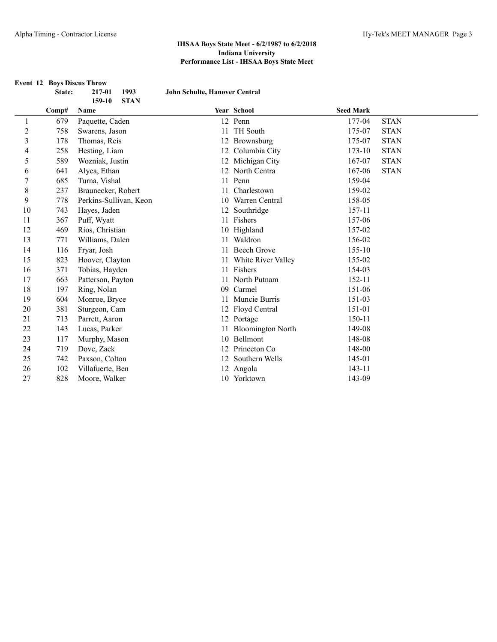|                | State: | <b>Event 12 Boys Discus Throw</b><br>1993<br>217-01 | John Schulte, Hanover Central |                      |                  |             |
|----------------|--------|-----------------------------------------------------|-------------------------------|----------------------|------------------|-------------|
|                |        | 159-10<br><b>STAN</b>                               |                               |                      |                  |             |
|                | Comp#  | Name                                                |                               | Year School          | <b>Seed Mark</b> |             |
| 1              | 679    | Paquette, Caden                                     |                               | 12 Penn              | 177-04           | <b>STAN</b> |
| $\overline{c}$ | 758    | Swarens, Jason                                      | 11                            | TH South             | 175-07           | <b>STAN</b> |
| 3              | 178    | Thomas, Reis                                        |                               | 12 Brownsburg        | 175-07           | <b>STAN</b> |
| 4              | 258    | Hesting, Liam                                       |                               | 12 Columbia City     | 173-10           | <b>STAN</b> |
| 5              | 589    | Wozniak, Justin                                     |                               | 12 Michigan City     | 167-07           | <b>STAN</b> |
| 6              | 641    | Alyea, Ethan                                        |                               | 12 North Centra      | 167-06           | <b>STAN</b> |
| 7              | 685    | Turna, Vishal                                       |                               | 11 Penn              | 159-04           |             |
| 8              | 237    | Braunecker, Robert                                  | 11                            | Charlestown          | 159-02           |             |
| 9              | 778    | Perkins-Sullivan, Keon                              |                               | 10 Warren Central    | 158-05           |             |
| 10             | 743    | Hayes, Jaden                                        |                               | 12 Southridge        | 157-11           |             |
| 11             | 367    | Puff, Wyatt                                         |                               | 11 Fishers           | 157-06           |             |
| 12             | 469    | Rios, Christian                                     |                               | 10 Highland          | 157-02           |             |
| 13             | 771    | Williams, Dalen                                     |                               | 11 Waldron           | 156-02           |             |
| 14             | 116    | Fryar, Josh                                         | 11                            | <b>Beech Grove</b>   | 155-10           |             |
| 15             | 823    | Hoover, Clayton                                     | 11                            | White River Valley   | 155-02           |             |
| 16             | 371    | Tobias, Hayden                                      |                               | 11 Fishers           | 154-03           |             |
| 17             | 663    | Patterson, Payton                                   |                               | 11 North Putnam      | 152-11           |             |
| 18             | 197    | Ring, Nolan                                         | 09                            | Carmel               | 151-06           |             |
| 19             | 604    | Monroe, Bryce                                       | 11                            | Muncie Burris        | 151-03           |             |
| 20             | 381    | Sturgeon, Cam                                       |                               | 12 Floyd Central     | 151-01           |             |
| 21             | 713    | Parrett, Aaron                                      |                               | 12 Portage           | 150-11           |             |
| 22             | 143    | Lucas, Parker                                       |                               | 11 Bloomington North | 149-08           |             |
| 23             | 117    | Murphy, Mason                                       |                               | 10 Bellmont          | 148-08           |             |
| 24             | 719    | Dove, Zack                                          |                               | 12 Princeton Co      | 148-00           |             |
| 25             | 742    | Paxson, Colton                                      |                               | 12 Southern Wells    | 145-01           |             |
| 26             | 102    | Villafuerte, Ben                                    |                               | 12 Angola            | 143-11           |             |
| 27             | 828    | Moore, Walker                                       |                               | 10 Yorktown          | 143-09           |             |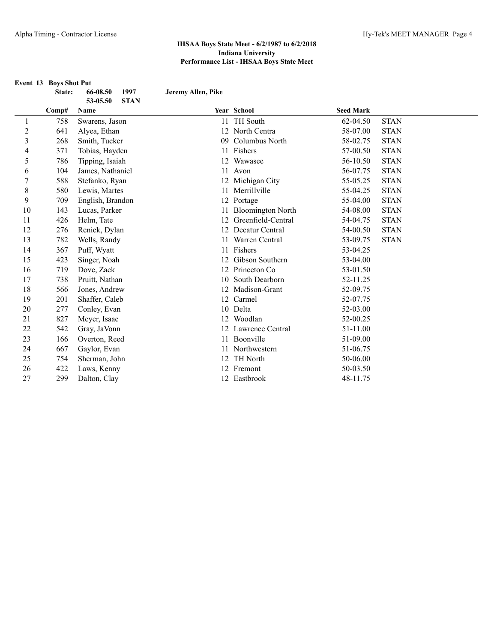|                | Event 13 Boys Shot Put |                                 |                    |                          |                  |             |
|----------------|------------------------|---------------------------------|--------------------|--------------------------|------------------|-------------|
|                | State:                 | 1997<br>66-08.50                | Jeremy Allen, Pike |                          |                  |             |
|                | Comp#                  | <b>STAN</b><br>53-05.50<br>Name |                    | <b>Year School</b>       | <b>Seed Mark</b> |             |
| 1              | 758                    | Swarens, Jason                  | 11                 | TH South                 | 62-04.50         | <b>STAN</b> |
| $\overline{c}$ | 641                    | Alyea, Ethan                    |                    | 12 North Centra          | 58-07.00         | <b>STAN</b> |
| 3              | 268                    | Smith, Tucker                   |                    | 09 Columbus North        | 58-02.75         | <b>STAN</b> |
| 4              | 371                    | Tobias, Hayden                  | 11                 | Fishers                  | 57-00.50         | <b>STAN</b> |
| 5              | 786                    | Tipping, Isaiah                 |                    | 12 Wawasee               | 56-10.50         | <b>STAN</b> |
| 6              | 104                    | James, Nathaniel                | 11                 | Avon                     | 56-07.75         | <b>STAN</b> |
| 7              | 588                    | Stefanko, Ryan                  |                    | 12 Michigan City         | 55-05.25         | <b>STAN</b> |
| $\,$ $\,$      | 580                    | Lewis, Martes                   | 11                 | Merrillville             | 55-04.25         | <b>STAN</b> |
| 9              | 709                    | English, Brandon                |                    | 12 Portage               | 55-04.00         | <b>STAN</b> |
| 10             | 143                    | Lucas, Parker                   |                    | <b>Bloomington North</b> | 54-08.00         | <b>STAN</b> |
| 11             | 426                    | Helm, Tate                      | 12                 | Greenfield-Central       | 54-04.75         | <b>STAN</b> |
| 12             | 276                    | Renick, Dylan                   |                    | Decatur Central          | 54-00.50         | <b>STAN</b> |
| 13             | 782                    | Wells, Randy                    | 11                 | Warren Central           | 53-09.75         | <b>STAN</b> |
| 14             | 367                    | Puff, Wyatt                     | 11                 | Fishers                  | 53-04.25         |             |
| 15             | 423                    | Singer, Noah                    | 12                 | Gibson Southern          | 53-04.00         |             |
| 16             | 719                    | Dove, Zack                      |                    | 12 Princeton Co          | 53-01.50         |             |
| 17             | 738                    | Pruitt, Nathan                  | 10                 | South Dearborn           | 52-11.25         |             |
| 18             | 566                    | Jones, Andrew                   | 12                 | Madison-Grant            | 52-09.75         |             |
| 19             | 201                    | Shaffer, Caleb                  | 12                 | Carmel                   | 52-07.75         |             |
| 20             | 277                    | Conley, Evan                    |                    | 10 Delta                 | 52-03.00         |             |
| 21             | 827                    | Meyer, Isaac                    | 12                 | Woodlan                  | 52-00.25         |             |
| 22             | 542                    | Gray, JaVonn                    |                    | 12 Lawrence Central      | 51-11.00         |             |
| 23             | 166                    | Overton, Reed                   | 11                 | Boonville                | 51-09.00         |             |
| 24             | 667                    | Gaylor, Evan                    |                    | Northwestern             | 51-06.75         |             |
| 25             | 754                    | Sherman, John                   | 12                 | <b>TH</b> North          | 50-06.00         |             |
| 26             | 422                    | Laws, Kenny                     | 12                 | Fremont                  | 50-03.50         |             |
| 27             | 299                    | Dalton, Clay                    |                    | 12 Eastbrook             | 48-11.75         |             |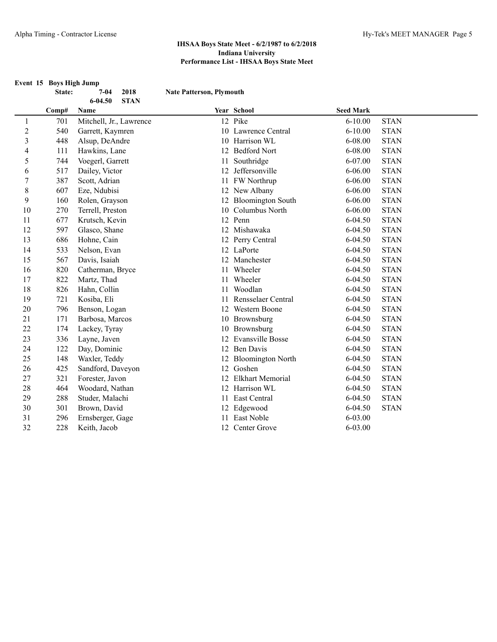|                | Event 15 Boys High Jump |                            |                                 |                          |                  |             |
|----------------|-------------------------|----------------------------|---------------------------------|--------------------------|------------------|-------------|
|                | State:                  | 2018<br>$7 - 04$           | <b>Nate Patterson, Plymouth</b> |                          |                  |             |
|                |                         | <b>STAN</b><br>$6 - 04.50$ |                                 |                          |                  |             |
|                | Comp#                   | Name                       |                                 | Year School              | <b>Seed Mark</b> |             |
| $\mathbf{1}$   | 701                     | Mitchell, Jr., Lawrence    |                                 | 12 Pike                  | $6 - 10.00$      | <b>STAN</b> |
| $\overline{c}$ | 540                     | Garrett, Kaymren           |                                 | 10 Lawrence Central      | $6 - 10.00$      | <b>STAN</b> |
| 3              | 448                     | Alsup, DeAndre             | 10                              | Harrison WL              | 6-08.00          | <b>STAN</b> |
| 4              | 111                     | Hawkins, Lane              | 12                              | <b>Bedford Nort</b>      | 6-08.00          | <b>STAN</b> |
| 5              | 744                     | Voegerl, Garrett           | 11                              | Southridge               | 6-07.00          | <b>STAN</b> |
| 6              | 517                     | Dailey, Victor             | 12                              | Jeffersonville           | $6 - 06.00$      | <b>STAN</b> |
| 7              | 387                     | Scott, Adrian              |                                 | 11 FW Northrup           | $6 - 06.00$      | <b>STAN</b> |
| 8              | 607                     | Eze, Ndubisi               |                                 | 12 New Albany            | $6 - 06.00$      | <b>STAN</b> |
| 9              | 160                     | Rolen, Grayson             | 12                              | <b>Bloomington South</b> | $6 - 06.00$      | <b>STAN</b> |
| 10             | 270                     | Terrell, Preston           | 10                              | Columbus North           | $6 - 06.00$      | <b>STAN</b> |
| 11             | 677                     | Krutsch, Kevin             | 12                              | Penn                     | 6-04.50          | <b>STAN</b> |
| 12             | 597                     | Glasco, Shane              |                                 | 12 Mishawaka             | 6-04.50          | <b>STAN</b> |
| 13             | 686                     | Hohne, Cain                | 12                              | Perry Central            | 6-04.50          | <b>STAN</b> |
| 14             | 533                     | Nelson, Evan               | 12                              | LaPorte                  | 6-04.50          | <b>STAN</b> |
| 15             | 567                     | Davis, Isaiah              | 12                              | Manchester               | 6-04.50          | <b>STAN</b> |
| 16             | 820                     | Catherman, Bryce           | 11                              | Wheeler                  | 6-04.50          | <b>STAN</b> |
| 17             | 822                     | Martz, Thad                | 11                              | Wheeler                  | 6-04.50          | <b>STAN</b> |
| 18             | 826                     | Hahn, Collin               | 11                              | Woodlan                  | 6-04.50          | <b>STAN</b> |
| 19             | 721                     | Kosiba, Eli                | 11                              | Rensselaer Central       | 6-04.50          | <b>STAN</b> |
| 20             | 796                     | Benson, Logan              | 12                              | Western Boone            | 6-04.50          | <b>STAN</b> |
| 21             | 171                     | Barbosa, Marcos            | 10                              | Brownsburg               | 6-04.50          | <b>STAN</b> |
| 22             | 174                     | Lackey, Tyray              | 10                              | Brownsburg               | 6-04.50          | <b>STAN</b> |
| 23             | 336                     | Layne, Javen               | 12 <sup>12</sup>                | <b>Evansville Bosse</b>  | 6-04.50          | <b>STAN</b> |
| 24             | 122                     | Day, Dominic               | 12                              | <b>Ben Davis</b>         | 6-04.50          | <b>STAN</b> |
| 25             | 148                     | Waxler, Teddy              | 12                              | <b>Bloomington North</b> | 6-04.50          | <b>STAN</b> |
| 26             | 425                     | Sandford, Daveyon          | 12                              | Goshen                   | $6 - 04.50$      | <b>STAN</b> |
| 27             | 321                     | Forester, Javon            | 12                              | <b>Elkhart Memorial</b>  | $6 - 04.50$      | <b>STAN</b> |
| 28             | 464                     | Woodard, Nathan            |                                 | 12 Harrison WL           | 6-04.50          | <b>STAN</b> |
| 29             | 288                     | Studer, Malachi            | 11                              | East Central             | 6-04.50          | <b>STAN</b> |
| 30             | 301                     | Brown, David               | 12                              | Edgewood                 | 6-04.50          | <b>STAN</b> |
| 31             | 296                     | Ernsberger, Gage           | 11                              | East Noble               | 6-03.00          |             |
| 32             | 228                     | Keith, Jacob               | 12                              | Center Grove             | 6-03.00          |             |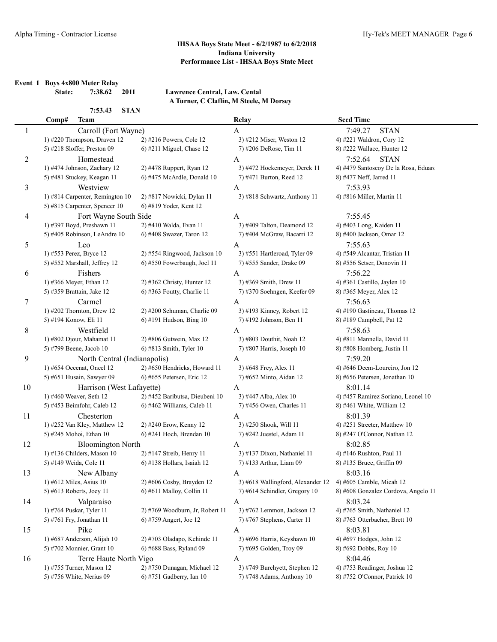**Event 1 Boys 4x800 Meter Relay**

**State: 7:38.62 2011 Lawrence Central, Law. Cental A Turner, C Claflin, M Steele, M Dorsey**

|    | <b>Team</b><br>Comp#            |                                 | Relay                             | <b>Seed Time</b>                     |
|----|---------------------------------|---------------------------------|-----------------------------------|--------------------------------------|
| 1  | Carroll (Fort Wayne)            |                                 | A                                 | 7:49.27<br><b>STAN</b>               |
|    | 1) #220 Thompson, Draven 12     | 2) #216 Powers, Cole 12         | 3) #212 Miser, Weston 12          | 4) #221 Waldron, Cory 12             |
|    | 5) #218 Sloffer, Preston 09     | $6$ ) #211 Miguel, Chase 12     | 7) #206 DeRose, Tim 11            | 8) #222 Wallace, Hunter 12           |
| 2  | Homestead                       |                                 | A                                 | <b>STAN</b><br>7:52.64               |
|    | 1) #474 Johnson, Zachary 12     | 2) #478 Ruppert, Ryan 12        | 3) #472 Hockemeyer, Derek 11      | 4) #479 Santoscoy De la Rosa, Eduard |
|    | 5) #481 Stuckey, Keagan 11      | $6$ ) #475 McArdle, Donald 10   | 7) #471 Burton, Reed 12           | 8) #477 Neff, Jarred 11              |
|    | Westview                        |                                 | A                                 | 7:53.93                              |
| 3  | 1) #814 Carpenter, Remington 10 | 2) #817 Nowicki, Dylan 11       | 3) #818 Schwartz, Anthony 11      | 4) #816 Miller, Martin 11            |
|    |                                 | 6) #819 Yoder, Kent 12          |                                   |                                      |
|    | 5) #815 Carpenter, Spencer 10   |                                 |                                   |                                      |
| 4  | Fort Wayne South Side           |                                 | A                                 | 7:55.45                              |
|    | 1) #397 Boyd, Preshawn 11       | 2) #410 Walda, Evan 11          | 3) #409 Talton, Deamond 12        | 4) #403 Long, Kaiden 11              |
|    | 5) #405 Robinson, LeAndre 10    | $6$ ) #408 Swazer, Taron 12     | 7) #404 McGraw, Bacarri 12        | 8) #400 Jackson, Omar 12             |
| 5  | Leo                             |                                 | A                                 | 7:55.63                              |
|    | 1) #553 Perez, Bryce 12         | 2) #554 Ringwood, Jackson 10    | 3) #551 Hartleroad, Tyler 09      | 4) #549 Alcantar, Tristian 11        |
|    | 5) #552 Marshall, Jeffrey 12    | 6) #550 Fowerbaugh, Joel 11     | 7) #555 Sander, Drake 09          | 8) #556 Setser, Donovin 11           |
| 6  | Fishers                         |                                 | A                                 | 7:56.22                              |
|    | 1) #366 Meyer, Ethan 12         | 2) #362 Christy, Hunter 12      | 3) #369 Smith, Drew 11            | 4) #361 Castillo, Jaylen 10          |
|    | 5) #359 Brattain, Jake 12       | 6) #363 Foutty, Charlie 11      | 7) #370 Soehngen, Keefer 09       | 8) #365 Meyer, Alex 12               |
| 7  | Carmel                          |                                 | A                                 | 7:56.63                              |
|    | 1) #202 Thornton, Drew $12$     | 2) #200 Schuman, Charlie 09     | 3) #193 Kinney, Robert 12         | 4) #190 Gastineau, Thomas 12         |
|    | 5) #194 Konow, Eli 11           | $6$ ) #191 Hudson, Bing 10      | 7) #192 Johnson, Ben 11           | 8) #189 Campbell, Pat 12             |
| 8  | Westfield                       |                                 | A                                 | 7:58.63                              |
|    | 1) #802 Djour, Mahamat 11       | 2) #806 Gutwein, Max 12         | 3) #803 Douthit, Noah 12          | 4) #811 Mannella, David 11           |
|    | 5) #799 Beene, Jacob 10         | 6) #813 Smith, Tyler 10         | $7)$ #807 Harris, Joseph 10       | 8) #808 Homberg, Justin 11           |
| 9  | North Central (Indianapolis)    |                                 | A                                 | 7:59.20                              |
|    | 1) #654 Occenat, Oneel 12       | 2) #650 Hendricks, Howard 11    | 3) #648 Frey, Alex 11             | 4) #646 Deem-Loureiro, Jon 12        |
|    | 5) #651 Husain, Sawyer 09       | 6) #655 Petersen, Eric 12       | 7) #652 Minto, Aidan 12           | 8) #656 Petersen, Jonathan 10        |
| 10 | Harrison (West Lafayette)       |                                 | A                                 | 8:01.14                              |
|    | 1) #460 Weaver, Seth 12         | 2) #452 Baributsa, Dieubeni 10  | 3) #447 Alba, Alex 10             | 4) #457 Ramirez Soriano, Leonel 10   |
|    | 5) #453 Beimfohr, Caleb 12      | 6) #462 Williams, Caleb 11      | 7) #456 Owen, Charles 11          | 8) #461 White, William 12            |
| 11 | Chesterton                      |                                 | A                                 | 8:01.39                              |
|    | 1) #252 Van Kley, Matthew 12    | 2) #240 Erow, Kenny 12          | 3) #250 Shook, Will 11            | 4) #251 Streeter, Matthew 10         |
|    | 5) #245 Mohoi, Ethan 10         | 6) #241 Hoch, Brendan 10        | 7) #242 Juestel, Adam 11          | 8) #247 O'Connor, Nathan 12          |
| 12 | <b>Bloomington North</b>        |                                 | A                                 | 8:02.85                              |
|    | 1) #136 Childers, Mason 10      | 2) #147 Streib, Henry 11        | 3) #137 Dixon, Nathaniel 11       | 4) #146 Rushton, Paul 11             |
|    | 5) #149 Weida, Cole 11          | 6) #138 Hollars, Isaiah 12      | 7) #133 Arthur, Liam 09           | 8) #135 Bruce, Griffin 09            |
| 13 | New Albany                      |                                 | A                                 | 8:03.16                              |
|    | 1) #612 Miles, Asius 10         | 2) #606 Cosby, Brayden 12       | 3) #618 Wallingford, Alexander 12 | 4) #605 Camble, Micah 12             |
|    | 5) #613 Roberts, Joey 11        | 6) #611 Malloy, Collin 11       | 7) #614 Schindler, Gregory 10     | 8) #608 Gonzalez Cordova, Angelo 11  |
| 14 | Valparaiso                      |                                 | A                                 | 8:03.24                              |
|    | 1) #764 Puskar, Tyler 11        | 2) #769 Woodburn, Jr, Robert 11 | 3) #762 Lemmon, Jackson 12        | 4) #765 Smith, Nathaniel 12          |
|    | 5) #761 Fry, Jonathan 11        | 6) #759 Angert, Joe 12          | 7) #767 Stephens, Carter 11       | 8) #763 Otterbacher, Brett 10        |
|    | Pike                            |                                 |                                   |                                      |
| 15 | 1) #687 Anderson, Alijah 10     | 2) #703 Oladapo, Kehinde 11     | A<br>3) #696 Harris, Keyshawn 10  | 8:03.81<br>4) #697 Hodges, John 12   |
|    | 5) #702 Monnier, Grant 10       | 6) #688 Bass, Ryland 09         | 7) #695 Golden, Troy 09           | 8) #692 Dobbs, Roy 10                |
|    |                                 |                                 |                                   |                                      |
| 16 | Terre Haute North Vigo          |                                 | A                                 | 8:04.46                              |
|    | 1) #755 Turner, Mason 12        | 2) #750 Dunagan, Michael 12     | 3) #749 Burchyett, Stephen 12     | 4) #753 Readinger, Joshua 12         |
|    | 5) #756 White, Nerius 09        | 6) #751 Gadberry, Ian 10        | 7) #748 Adams, Anthony 10         | 8) #752 O'Connor, Patrick 10         |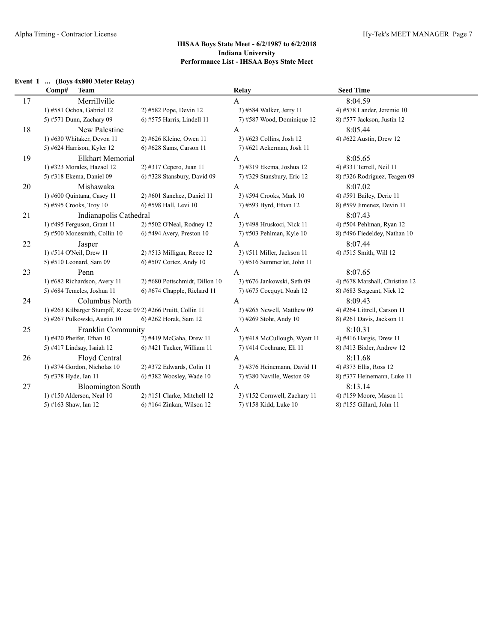| Event 1 | (Boys 4x800 Meter Relay) |  |  |
|---------|--------------------------|--|--|
|---------|--------------------------|--|--|

|    | <b>Team</b><br>Comp#                                          |                                | Relay                        | <b>Seed Time</b>               |
|----|---------------------------------------------------------------|--------------------------------|------------------------------|--------------------------------|
| 17 | Merrillville                                                  |                                | A                            | 8:04.59                        |
|    | 1) #581 Ochoa, Gabriel 12                                     | 2) #582 Pope, Devin 12         | 3) #584 Walker, Jerry 11     | 4) #578 Lander, Jeremie 10     |
|    | 5) #571 Dunn, Zachary 09                                      | 6) #575 Harris, Lindell 11     | 7) #587 Wood, Dominique 12   | 8) #577 Jackson, Justin 12     |
| 18 | New Palestine                                                 |                                | A                            | 8:05.44                        |
|    | 1) #630 Whitaker, Devon 11                                    | 2) #626 Kleine, Owen 11        | 3) #623 Collins, Josh 12     | 4) #622 Austin, Drew 12        |
|    | 5) #624 Harrison, Kyler 12                                    | 6) #628 Sams, Carson 11        | 7) #621 Ackerman, Josh 11    |                                |
| 19 | <b>Elkhart Memorial</b>                                       |                                | A                            | 8:05.65                        |
|    | 1) #323 Morales, Hazael 12                                    | 2) #317 Cepero, Juan 11        | 3) #319 Ekema, Joshua 12     | 4) #331 Terrell, Neil 11       |
|    | 5) #318 Ekema, Daniel 09                                      | 6) #328 Stansbury, David 09    | 7) #329 Stansbury, Eric 12   | 8) #326 Rodriguez, Teagen 09   |
| 20 | Mishawaka                                                     |                                | A                            | 8:07.02                        |
|    | 1) #600 Quintana, Casey 11                                    | 2) #601 Sanchez, Daniel 11     | 3) #594 Crooks, Mark 10      | 4) #591 Bailey, Deric 11       |
|    | 5) #595 Crooks, Troy 10                                       | 6) #598 Hall, Levi 10          | 7) #593 Byrd, Ethan 12       | 8) #599 Jimenez, Devin 11      |
| 21 | Indianapolis Cathedral                                        |                                | A                            | 8:07.43                        |
|    | 1) #495 Ferguson, Grant 11                                    | 2) #502 O'Neal, Rodney 12      | 3) #498 Hruskoci, Nick 11    | 4) #504 Pehlman, Ryan 12       |
|    | 5) #500 Monesmith, Collin 10                                  | $6$ ) #494 Avery, Preston 10   | 7) #503 Pehlman, Kyle 10     | 8) #496 Fiedeldey, Nathan 10   |
| 22 | Jasper                                                        |                                | A                            | 8:07.44                        |
|    | 1) #514 O'Neil, Drew 11                                       | 2) #513 Milligan, Reece 12     | 3) #511 Miller, Jackson 11   | 4) #515 Smith, Will 12         |
|    | 5) #510 Leonard, Sam 09                                       | 6) #507 Cortez, Andy 10        | 7) #516 Summerlot, John 11   |                                |
| 23 | Penn                                                          |                                | A                            | 8:07.65                        |
|    | 1) #682 Richardson, Avery 11                                  | 2) #680 Pottschmidt, Dillon 10 | 3) #676 Jankowski, Seth 09   | 4) #678 Marshall, Christian 12 |
|    | 5) #684 Temeles, Joshua 11                                    | 6) #674 Chapple, Richard 11    | 7) #675 Cocquyt, Noah 12     | 8) #683 Sergeant, Nick 12      |
| 24 | Columbus North                                                |                                | A                            | 8:09.43                        |
|    | 1) #263 Kilbarger Stumpff, Reese 09 2) #266 Pruitt, Collin 11 |                                | 3) #265 Newell, Matthew 09   | 4) #264 Littrell, Carson 11    |
|    | 5) #267 Pulkowski, Austin 10                                  | 6) #262 Horak, Sam 12          | 7) #269 Stohr, Andy 10       | 8) #261 Davis, Jackson 11      |
| 25 | Franklin Community                                            |                                | A                            | 8:10.31                        |
|    | 1) #420 Pheifer, Ethan $10$                                   | 2) #419 McGaha, Drew 11        | 3) #418 McCullough, Wyatt 11 | 4) #416 Hargis, Drew 11        |
|    | 5) #417 Lindsay, Isaiah 12                                    | 6) #421 Tucker, William 11     | 7) #414 Cochrane, Eli 11     | 8) #413 Bixler, Andrew 12      |
| 26 | Floyd Central                                                 |                                | A                            | 8:11.68                        |
|    | 1) #374 Gordon, Nicholas 10                                   | 2) #372 Edwards, Colin 11      | 3) #376 Heinemann, David 11  | 4) #373 Ellis, Ross 12         |
|    | 5) #378 Hyde, Ian 11                                          | $6$ ) #382 Woosley, Wade 10    | $7)$ #380 Naville, Weston 09 | 8) #377 Heinemann, Luke 11     |
| 27 | <b>Bloomington South</b>                                      |                                | A                            | 8:13.14                        |
|    | 1) #150 Alderson, Neal 10                                     | 2) #151 Clarke, Mitchell 12    | 3) #152 Cornwell, Zachary 11 | 4) #159 Moore, Mason 11        |
|    | 5) #163 Shaw, Ian 12                                          | 6) #164 Zinkan, Wilson 12      | 7) #158 Kidd, Luke 10        | 8) #155 Gillard, John 11       |
|    |                                                               |                                |                              |                                |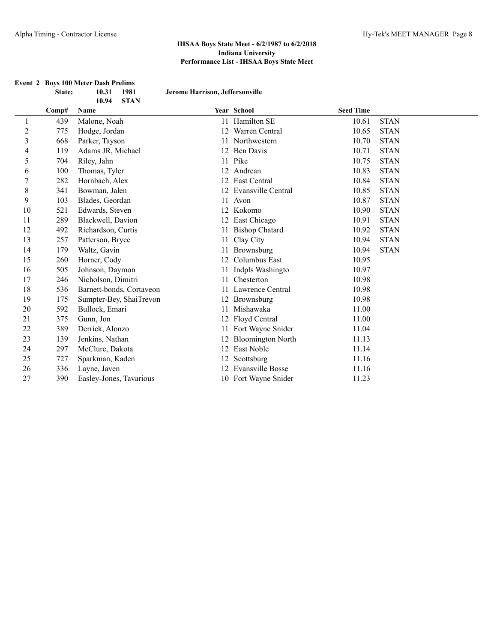|                |        | <b>Event 2 Boys 100 Meter Dash Prelims</b> |                                 |                       |                  |             |
|----------------|--------|--------------------------------------------|---------------------------------|-----------------------|------------------|-------------|
|                | State: | 10.31<br>1981<br>10.94<br><b>STAN</b>      | Jerome Harrison, Jeffersonville |                       |                  |             |
|                | Comp#  | Name                                       |                                 | Year School           | <b>Seed Time</b> |             |
| 1              | 439    | Malone, Noah                               |                                 | 11 Hamilton SE        | 10.61            | <b>STAN</b> |
| $\overline{c}$ | 775    | Hodge, Jordan                              | 12                              | Warren Central        | 10.65            | <b>STAN</b> |
| 3              | 668    | Parker, Tayson                             |                                 | 11 Northwestern       | 10.70            | <b>STAN</b> |
| 4              | 119    | Adams JR, Michael                          |                                 | 12 Ben Davis          | 10.71            | <b>STAN</b> |
| 5              | 704    | Riley, Jahn                                |                                 | 11 Pike               | 10.75            | <b>STAN</b> |
| 6              | 100    | Thomas, Tyler                              | 12                              | Andrean               | 10.83            | <b>STAN</b> |
| 7              | 282    | Hornbach, Alex                             | 12                              | <b>East Central</b>   | 10.84            | <b>STAN</b> |
| 8              | 341    | Bowman, Jalen                              |                                 | 12 Evansville Central | 10.85            | <b>STAN</b> |
| 9              | 103    | Blades, Geordan                            |                                 | 11 Avon               | 10.87            | <b>STAN</b> |
| 10             | 521    | Edwards, Steven                            |                                 | 12 Kokomo             | 10.90            | <b>STAN</b> |
| 11             | 289    | Blackwell, Davion                          |                                 | 12 East Chicago       | 10.91            | <b>STAN</b> |
| 12             | 492    | Richardson, Curtis                         | 11                              | <b>Bishop Chatard</b> | 10.92            | <b>STAN</b> |
| 13             | 257    | Patterson, Bryce                           | 11                              | Clay City             | 10.94            | <b>STAN</b> |
| 14             | 179    | Waltz, Gavin                               |                                 | 11 Brownsburg         | 10.94            | <b>STAN</b> |
| 15             | 260    | Horner, Cody                               | 12                              | Columbus East         | 10.95            |             |
| 16             | 505    | Johnson, Daymon                            | 11                              | Indpls Washingto      | 10.97            |             |
| 17             | 246    | Nicholson, Dimitri                         |                                 | 11 Chesterton         | 10.98            |             |
| 18             | 536    | Barnett-bonds, Cortaveon                   |                                 | 11 Lawrence Central   | 10.98            |             |
| 19             | 175    | Sumpter-Bey, ShaiTrevon                    |                                 | 12 Brownsburg         | 10.98            |             |
| 20             | 592    | Bullock, Emari                             | 11                              | Mishawaka             | 11.00            |             |
| 21             | 375    | Gunn, Jon                                  |                                 | 12 Floyd Central      | 11.00            |             |
| 22             | 389    | Derrick, Alonzo                            |                                 | 11 Fort Wayne Snider  | 11.04            |             |
| 23             | 139    | Jenkins, Nathan                            |                                 | 12 Bloomington North  | 11.13            |             |
| 24             | 297    | McClure, Dakota                            | 12                              | East Noble            | 11.14            |             |
| 25             | 727    | Sparkman, Kaden                            |                                 | 12 Scottsburg         | 11.16            |             |
| 26             | 336    | Layne, Javen                               |                                 | 12 Evansville Bosse   | 11.16            |             |
| 27             | 390    | Easley-Jones, Tavarious                    |                                 | 10 Fort Wayne Snider  | 11.23            |             |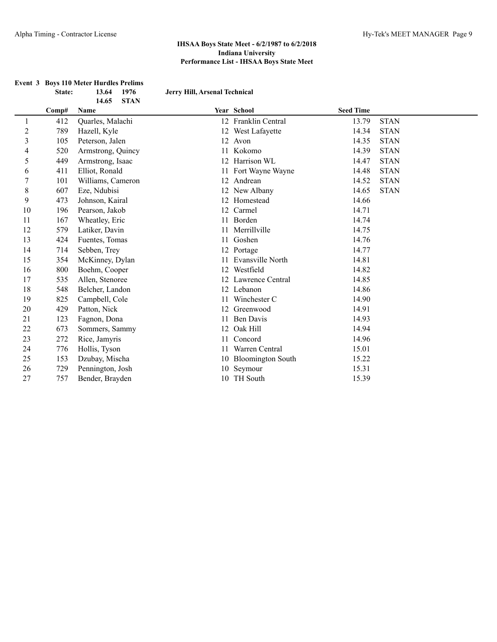|                |        | <b>Event 3 Boys 110 Meter Hurdles Prelims</b> |                               |                      |                  |             |
|----------------|--------|-----------------------------------------------|-------------------------------|----------------------|------------------|-------------|
|                | State: | 13.64<br>1976                                 | Jerry Hill, Arsenal Technical |                      |                  |             |
|                | Comp#  | <b>STAN</b><br>14.65<br>Name                  |                               | Year School          | <b>Seed Time</b> |             |
| 1              | 412    | Quarles, Malachi                              |                               | 12 Franklin Central  | 13.79            | <b>STAN</b> |
| $\overline{c}$ | 789    | Hazell, Kyle                                  |                               | 12 West Lafayette    | 14.34            | <b>STAN</b> |
| 3              | 105    | Peterson, Jalen                               |                               | 12 Avon              | 14.35            | <b>STAN</b> |
| 4              | 520    | Armstrong, Quincy                             |                               | 11 Kokomo            | 14.39            | <b>STAN</b> |
| 5              | 449    | Armstrong, Isaac                              |                               | 12 Harrison WL       | 14.47            | <b>STAN</b> |
| 6              | 411    | Elliot, Ronald                                |                               | 11 Fort Wayne Wayne  | 14.48            | <b>STAN</b> |
| 7              | 101    | Williams, Cameron                             |                               | 12 Andrean           | 14.52            | <b>STAN</b> |
| 8              | 607    | Eze, Ndubisi                                  |                               | 12 New Albany        | 14.65            | <b>STAN</b> |
| 9              | 473    | Johnson, Kairal                               |                               | 12 Homestead         | 14.66            |             |
| 10             | 196    | Pearson, Jakob                                |                               | 12 Carmel            | 14.71            |             |
| 11             | 167    | Wheatley, Eric                                |                               | 11 Borden            | 14.74            |             |
| 12             | 579    | Latiker, Davin                                |                               | 11 Merrillville      | 14.75            |             |
| 13             | 424    | Fuentes, Tomas                                |                               | 11 Goshen            | 14.76            |             |
| 14             | 714    | Sebben, Trey                                  |                               | 12 Portage           | 14.77            |             |
| 15             | 354    | McKinney, Dylan                               | 11                            | Evansville North     | 14.81            |             |
| 16             | 800    | Boehm, Cooper                                 |                               | 12 Westfield         | 14.82            |             |
| 17             | 535    | Allen, Stenoree                               |                               | 12 Lawrence Central  | 14.85            |             |
| 18             | 548    | Belcher, Landon                               |                               | 12 Lebanon           | 14.86            |             |
| 19             | 825    | Campbell, Cole                                |                               | 11 Winchester C      | 14.90            |             |
| 20             | 429    | Patton, Nick                                  |                               | 12 Greenwood         | 14.91            |             |
| 21             | 123    | Fagnon, Dona                                  |                               | 11 Ben Davis         | 14.93            |             |
| 22             | 673    | Sommers, Sammy                                | 12                            | Oak Hill             | 14.94            |             |
| 23             | 272    | Rice, Jamyris                                 | 11                            | Concord              | 14.96            |             |
| 24             | 776    | Hollis, Tyson                                 | 11                            | Warren Central       | 15.01            |             |
| 25             | 153    | Dzubay, Mischa                                |                               | 10 Bloomington South | 15.22            |             |
| 26             | 729    | Pennington, Josh                              | 10                            | Seymour              | 15.31            |             |
| 27             | 757    | Bender, Brayden                               |                               | 10 TH South          | 15.39            |             |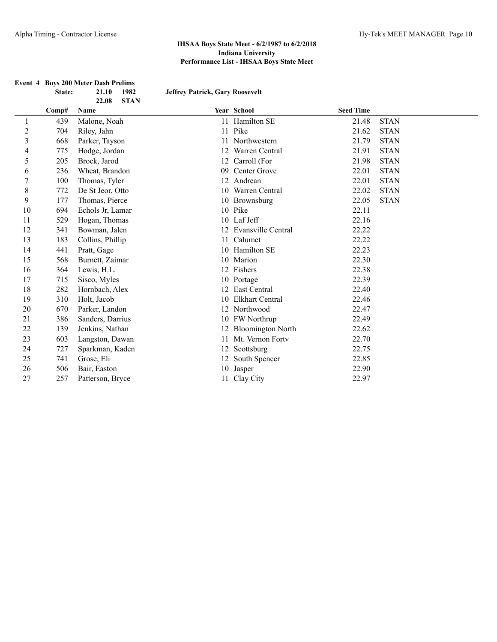|                | State: | <b>Event 4 Boys 200 Meter Dash Prelims</b><br>21.10<br>1982 | <b>Jeffrey Patrick, Gary Roosevelt</b> |                          |                  |             |
|----------------|--------|-------------------------------------------------------------|----------------------------------------|--------------------------|------------------|-------------|
|                | Comp#  | 22.08<br><b>STAN</b><br>Name                                |                                        | Year School              | <b>Seed Time</b> |             |
| 1              | 439    | Malone, Noah                                                |                                        | 11 Hamilton SE           | 21.48            | <b>STAN</b> |
| $\overline{c}$ | 704    | Riley, Jahn                                                 |                                        | 11 Pike                  | 21.62            | <b>STAN</b> |
| 3              | 668    | Parker, Tayson                                              | 11                                     | Northwestern             | 21.79            | <b>STAN</b> |
| 4              | 775    | Hodge, Jordan                                               |                                        | 12 Warren Central        | 21.91            | <b>STAN</b> |
| 5              | 205    | Brock, Jarod                                                |                                        | 12 Carroll (For          | 21.98            | <b>STAN</b> |
| 6              | 236    | Wheat, Brandon                                              | 09                                     | Center Grove             | 22.01            | <b>STAN</b> |
| 7              | 100    | Thomas, Tyler                                               |                                        | 12 Andrean               | 22.01            | <b>STAN</b> |
| 8              | 772    | De St Jeor, Otto                                            |                                        | 10 Warren Central        | 22.02            | <b>STAN</b> |
| 9              | 177    | Thomas, Pierce                                              |                                        | 10 Brownsburg            | 22.05            | <b>STAN</b> |
| 10             | 694    | Echols Jr, Lamar                                            |                                        | 10 Pike                  | 22.11            |             |
| 11             | 529    | Hogan, Thomas                                               |                                        | 10 Laf Jeff              | 22.16            |             |
| 12             | 341    | Bowman, Jalen                                               |                                        | 12 Evansville Central    | 22.22            |             |
| 13             | 183    | Collins, Phillip                                            |                                        | 11 Calumet               | 22.22            |             |
| 14             | 441    | Pratt, Gage                                                 |                                        | 10 Hamilton SE           | 22.23            |             |
| 15             | 568    | Burnett, Zaimar                                             | 10                                     | Marion                   | 22.30            |             |
| 16             | 364    | Lewis, H.L.                                                 |                                        | 12 Fishers               | 22.38            |             |
| 17             | 715    | Sisco, Myles                                                |                                        | 10 Portage               | 22.39            |             |
| 18             | 282    | Hornbach, Alex                                              | 12                                     | East Central             | 22.40            |             |
| 19             | 310    | Holt, Jacob                                                 | 10                                     | <b>Elkhart Central</b>   | 22.46            |             |
| 20             | 670    | Parker, Landon                                              |                                        | 12 Northwood             | 22.47            |             |
| 21             | 386    | Sanders, Darrius                                            |                                        | 10 FW Northrup           | 22.49            |             |
| 22             | 139    | Jenkins, Nathan                                             | 12                                     | <b>Bloomington North</b> | 22.62            |             |
| 23             | 603    | Langston, Dawan                                             | 11                                     | Mt. Vernon Fortv         | 22.70            |             |
| 24             | 727    | Sparkman, Kaden                                             | 12                                     | Scottsburg               | 22.75            |             |
| 25             | 741    | Grose, Eli                                                  | 12                                     | South Spencer            | 22.85            |             |
| 26             | 506    | Bair, Easton                                                | 10                                     | Jasper                   | 22.90            |             |
| 27             | 257    | Patterson, Bryce                                            |                                        | 11 Clay City             | 22.97            |             |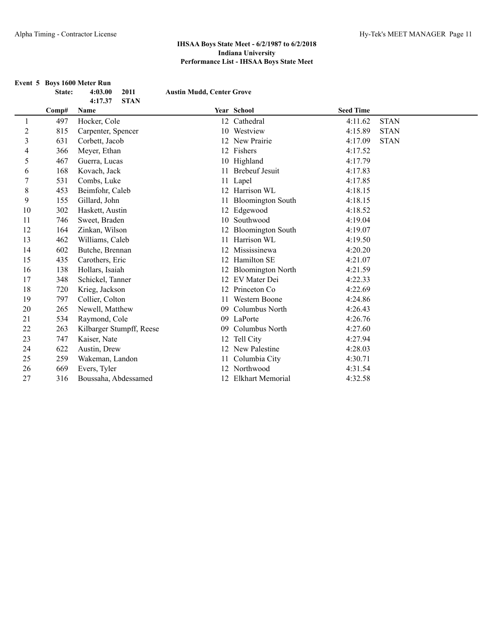|                |        | Event 5 Boys 1600 Meter Run               |                                  |                          |                  |             |
|----------------|--------|-------------------------------------------|----------------------------------|--------------------------|------------------|-------------|
|                | State: | 2011<br>4:03.00<br>4:17.37<br><b>STAN</b> | <b>Austin Mudd, Center Grove</b> |                          |                  |             |
|                | Comp#  | Name                                      |                                  | Year School              | <b>Seed Time</b> |             |
| 1              | 497    | Hocker, Cole                              |                                  | 12 Cathedral             | 4:11.62          | <b>STAN</b> |
| $\overline{c}$ | 815    | Carpenter, Spencer                        |                                  | 10 Westview              | 4:15.89          | <b>STAN</b> |
| 3              | 631    | Corbett, Jacob                            |                                  | 12 New Prairie           | 4:17.09          | <b>STAN</b> |
| 4              | 366    | Meyer, Ethan                              |                                  | 12 Fishers               | 4:17.52          |             |
| 5              | 467    | Guerra, Lucas                             |                                  | 10 Highland              | 4:17.79          |             |
| 6              | 168    | Kovach, Jack                              |                                  | 11 Brebeuf Jesuit        | 4:17.83          |             |
| 7              | 531    | Combs, Luke                               |                                  | 11 Lapel                 | 4:17.85          |             |
| $\,$ $\,$      | 453    | Beimfohr, Caleb                           |                                  | 12 Harrison WL           | 4:18.15          |             |
| 9              | 155    | Gillard, John                             |                                  | <b>Bloomington South</b> | 4:18.15          |             |
| 10             | 302    | Haskett, Austin                           |                                  | 12 Edgewood              | 4:18.52          |             |
| 11             | 746    | Sweet, Braden                             |                                  | 10 Southwood             | 4:19.04          |             |
| 12             | 164    | Zinkan, Wilson                            |                                  | 12 Bloomington South     | 4:19.07          |             |
| 13             | 462    | Williams, Caleb                           | 11                               | Harrison WL              | 4:19.50          |             |
| 14             | 602    | Butche, Brennan                           | 12                               | Mississinewa             | 4:20.20          |             |
| 15             | 435    | Carothers, Eric                           | 12                               | Hamilton SE              | 4:21.07          |             |
| 16             | 138    | Hollars, Isaiah                           | 12                               | <b>Bloomington North</b> | 4:21.59          |             |
| 17             | 348    | Schickel, Tanner                          |                                  | 12 EV Mater Dei          | 4:22.33          |             |
| 18             | 720    | Krieg, Jackson                            | 12                               | Princeton Co             | 4:22.69          |             |
| 19             | 797    | Collier, Colton                           | 11                               | Western Boone            | 4:24.86          |             |
| 20             | 265    | Newell, Matthew                           | 09                               | Columbus North           | 4:26.43          |             |
| 21             | 534    | Raymond, Cole                             |                                  | 09 LaPorte               | 4:26.76          |             |
| 22             | 263    | Kilbarger Stumpff, Reese                  | 09                               | Columbus North           | 4:27.60          |             |
| 23             | 747    | Kaiser, Nate                              | 12                               | Tell City                | 4:27.94          |             |
| 24             | 622    | Austin, Drew                              |                                  | 12 New Palestine         | 4:28.03          |             |
| 25             | 259    | Wakeman, Landon                           |                                  | 11 Columbia City         | 4:30.71          |             |
| 26             | 669    | Evers, Tyler                              |                                  | 12 Northwood             | 4:31.54          |             |
| 27             | 316    | Boussaha, Abdessamed                      |                                  | 12 Elkhart Memorial      | 4:32.58          |             |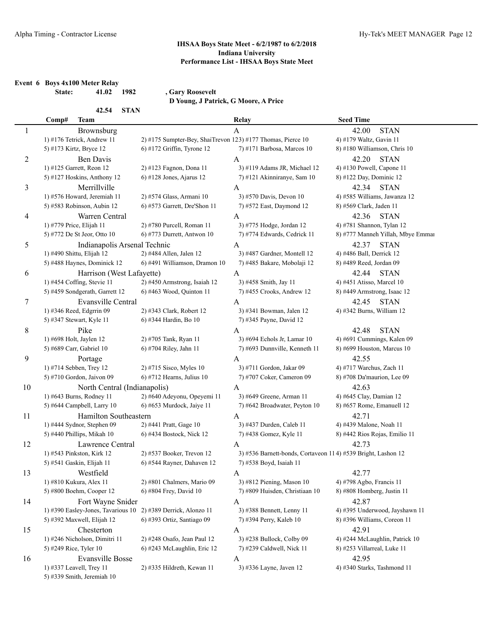**Event 6 Boys 4x100 Meter Relay**

**42.54 STAN**

**State: 41.02 1982 , Gary Roosevelt**

**D Young, J Patrick, G Moore, A Price**

|    | Comp#                    | <b>Team</b>                        |                                                             | Relay                                                        | <b>Seed Time</b>            |                                   |
|----|--------------------------|------------------------------------|-------------------------------------------------------------|--------------------------------------------------------------|-----------------------------|-----------------------------------|
| 1  |                          | Brownsburg                         |                                                             | A                                                            | 42.00                       | <b>STAN</b>                       |
|    |                          | 1) #176 Tetrick, Andrew 11         | 2) #175 Sumpter-Bey, ShaiTrevon 123) #177 Thomas, Pierce 10 |                                                              | 4) #179 Waltz, Gavin 11     |                                   |
|    |                          | 5) #173 Kirtz, Bryce 12            | $6$ ) #172 Griffin, Tyrone 12                               | 7) #171 Barbosa, Marcos 10                                   |                             | 8) #180 Williamson, Chris 10      |
| 2  |                          | Ben Davis                          |                                                             | $\mathbf{A}$                                                 | 42.20                       | <b>STAN</b>                       |
|    |                          | 1) #125 Garrett, Reon 12           | 2) #123 Fagnon, Dona 11                                     | 3) #119 Adams JR, Michael 12                                 | 4) #130 Powell, Capone 11   |                                   |
|    |                          | 5) #127 Hoskins, Anthony 12        | $6$ ) #128 Jones, Ajarus 12                                 | 7) #121 Akinniranye, Sam 10                                  | 8) #122 Day, Dominic 12     |                                   |
|    |                          | Merrillville                       |                                                             |                                                              |                             | <b>STAN</b>                       |
| 3  |                          |                                    |                                                             | A                                                            | 42.34                       |                                   |
|    |                          | 1) #576 Howard, Jeremiah 11        | 2) #574 Glass, Armani 10                                    | 3) #570 Davis, Devon 10                                      |                             | 4) #585 Williams, Jawanza 12      |
|    |                          | 5) #583 Robinson, Aubin 12         | 6) #573 Garrett, Dre'Shon 11                                | 7) #572 East, Daymond 12                                     | 8) #569 Clark, Jaden 11     |                                   |
| 4  |                          | Warren Central                     |                                                             | A                                                            | 42.36                       | <b>STAN</b>                       |
|    | 1) #779 Price, Elijah 11 |                                    | 2) #780 Purcell, Roman 11                                   | 3) #775 Hodge, Jordan 12                                     | 4) #781 Shannon, Tylan 12   |                                   |
|    |                          | 5) #772 De St Jeor, Otto 10        | $6$ ) #773 Durrett, Antwon 10                               | 7) #774 Edwards, Cedrick 11                                  |                             | 8) #777 Manneh Yillah, Mbye Emmar |
| 5  |                          | Indianapolis Arsenal Technic       |                                                             | A                                                            | 42.37                       | <b>STAN</b>                       |
|    |                          | 1) #490 Shittu, Elijah 12          | 2) #484 Allen, Jalen 12                                     | 3) #487 Gardner, Montell 12                                  | 4) #486 Ball, Derrick 12    |                                   |
|    |                          | 5) #488 Haynes, Dominick 12        | 6) #491 Williamson, Dramon 10                               | 7) #485 Bakare, Mobolaji 12                                  | 8) #489 Reed, Jordan 09     |                                   |
| 6  |                          | Harrison (West Lafayette)          |                                                             | A                                                            | 42.44                       | <b>STAN</b>                       |
|    |                          | 1) #454 Coffing, Stevie 11         | 2) #450 Armstrong, Isaiah 12                                | 3) #458 Smith, Jay 11                                        | 4) #451 Atisso, Marcel 10   |                                   |
|    |                          | 5) #459 Sondgerath, Garrett 12     | 6) #463 Wood, Quinton 11                                    | 7) #455 Crooks, Andrew 12                                    | 8) #449 Armstrong, Isaac 12 |                                   |
| 7  |                          | Evansville Central                 |                                                             | A                                                            | 42.45                       | <b>STAN</b>                       |
|    |                          | 1) #346 Reed, Edgrrin 09           | 2) #343 Clark, Robert 12                                    | 3) #341 Bowman, Jalen 12                                     | 4) #342 Burns, William 12   |                                   |
|    |                          | 5) #347 Stewart, Kyle 11           | 6) #344 Hardin, Bo 10                                       | 7) #345 Payne, David 12                                      |                             |                                   |
| 8  |                          | Pike                               |                                                             | A                                                            | 42.48                       | <b>STAN</b>                       |
|    |                          | 1) #698 Holt, Jaylen 12            | 2) #705 Tank, Ryan 11                                       | 3) #694 Echols Jr, Lamar 10                                  |                             | 4) #691 Cummings, Kalen 09        |
|    |                          | 5) #689 Carr, Gabriel 10           | 6) #704 Riley, Jahn 11                                      | 7) #693 Dunnville, Kenneth 11                                |                             | 8) #699 Houston, Marcus 10        |
|    |                          |                                    |                                                             |                                                              |                             |                                   |
| 9  |                          | Portage                            |                                                             | A                                                            | 42.55                       |                                   |
|    |                          | 1) #714 Sebben, Trey 12            | 2) #715 Sisco, Myles 10                                     | 3) #711 Gordon, Jakar 09                                     | 4) #717 Warchus, Zach 11    |                                   |
|    |                          | 5) #710 Gordon, Jaivon 09          | 6) #712 Hearns, Julius 10                                   | 7) #707 Coker, Cameron 09                                    | 8) #708 Da'maurion, Lee 09  |                                   |
| 10 |                          | North Central (Indianapolis)       |                                                             | A                                                            | 42.63                       |                                   |
|    |                          | 1) #643 Burns, Rodney 11           | 2) #640 Adeyonu, Opeyemi 11                                 | 3) #649 Greene, Arman 11                                     | 4) #645 Clay, Damian 12     |                                   |
|    |                          | 5) #644 Campbell, Larry 10         | 6) #653 Murdock, Jaiye 11                                   | 7) #642 Broadwater, Peyton 10                                | 8) #657 Rome, Emanuell 12   |                                   |
| 11 |                          | Hamilton Southeastern              |                                                             | A                                                            | 42.71                       |                                   |
|    |                          | 1) #444 Sydnor, Stephen 09         | 2) #441 Pratt, Gage 10                                      | 3) #437 Durden, Caleb 11                                     | 4) #439 Malone, Noah 11     |                                   |
|    |                          | 5) #440 Phillips, Mikah 10         | 6) #434 Bostock, Nick 12                                    | 7) #438 Gomez, Kyle 11                                       |                             | 8) #442 Rios Rojas, Emilio 11     |
| 12 |                          | Lawrence Central                   |                                                             | A                                                            | 42.73                       |                                   |
|    |                          | 1) #543 Pinkston, Kirk 12          | 2) #537 Booker, Trevon 12                                   | 3) #536 Barnett-bonds, Cortaveon 114) #539 Bright, Lashon 12 |                             |                                   |
|    |                          | 5) #541 Gaskin, Elijah 11          | 6) #544 Rayner, Dahaven 12                                  | 7) #538 Boyd, Isaiah 11                                      |                             |                                   |
| 13 |                          | Westfield                          |                                                             | A                                                            | 42.77                       |                                   |
|    |                          | 1) #810 Kukura, Alex 11            | 2) #801 Chalmers, Mario 09                                  | 3) #812 Piening, Mason 10                                    | 4) #798 Agbo, Francis 11    |                                   |
|    |                          | 5) #800 Boehm, Cooper 12           | 6) #804 Frey, David 10                                      | 7) #809 Huisden, Christiaan 10                               | 8) #808 Homberg, Justin 11  |                                   |
| 14 |                          | Fort Wayne Snider                  |                                                             | A                                                            | 42.87                       |                                   |
|    |                          | 1) #390 Easley-Jones, Tavarious 10 | 2) #389 Derrick, Alonzo 11                                  | 3) #388 Bennett, Lenny 11                                    |                             | 4) #395 Underwood, Jayshawn 11    |
|    |                          | 5) #392 Maxwell, Elijah 12         | 6) #393 Ortiz, Santiago 09                                  | 7) #394 Perry, Kaleb 10                                      |                             | 8) #396 Williams, Coreon 11       |
| 15 |                          | Chesterton                         |                                                             | A                                                            | 42.91                       |                                   |
|    |                          | 1) #246 Nicholson, Dimitri 11      | 2) #248 Osafo, Jean Paul 12                                 | 3) #238 Bullock, Colby 09                                    |                             | 4) #244 McLaughlin, Patrick 10    |
|    | 5) #249 Rice, Tyler 10   |                                    | 6) #243 McLaughlin, Eric 12                                 | 7) #239 Caldwell, Nick 11                                    | 8) #253 Villarreal, Luke 11 |                                   |
|    |                          |                                    |                                                             |                                                              |                             |                                   |
| 16 |                          | <b>Evansville Bosse</b>            |                                                             | A                                                            | 42.95                       |                                   |
|    |                          | 1) #337 Leavell, Trey 11           | 2) #335 Hildreth, Kewan 11                                  | 3) #336 Layne, Javen 12                                      |                             | 4) #340 Starks, Tashmond 11       |
|    |                          | 5) #339 Smith, Jeremiah 10         |                                                             |                                                              |                             |                                   |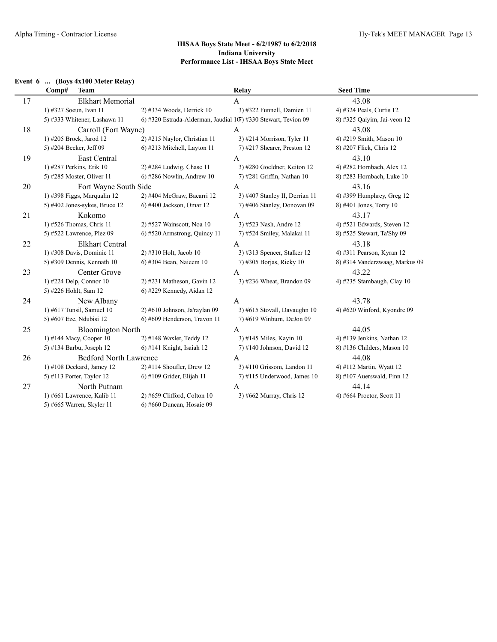# **Event 6 ... (Boys 4x100 Meter Relay)**

|    | Comp#<br><b>Team</b>          |                                                                | <b>Relay</b>                   | <b>Seed Time</b>               |
|----|-------------------------------|----------------------------------------------------------------|--------------------------------|--------------------------------|
| 17 | <b>Elkhart Memorial</b>       |                                                                | A                              | 43.08                          |
|    | 1) #327 Soeun, Ivan 11        | 2) #334 Woods, Derrick 10                                      | 3) #322 Funnell, Damien 11     | 4) #324 Peals, Curtis 12       |
|    | 5) #333 Whitener, Lashawn 11  | 6) #320 Estrada-Alderman, Jaudial 107) #330 Stewart, Tevion 09 |                                | 8) #325 Qaiyim, Jai-veon 12    |
| 18 | Carroll (Fort Wayne)          |                                                                | A                              | 43.08                          |
|    | 1) #205 Brock, Jarod 12       | 2) #215 Naylor, Christian 11                                   | 3) #214 Morrison, Tyler 11     | 4) #219 Smith, Mason 10        |
|    | 5) #204 Becker, Jeff 09       | 6) #213 Mitchell, Layton 11                                    | $7)$ #217 Shearer, Preston 12  | 8) #207 Flick, Chris 12        |
| 19 | East Central                  |                                                                | A                              | 43.10                          |
|    | 1) #287 Perkins, Erik 10      | 2) #284 Ludwig, Chase 11                                       | 3) #280 Goeldner, Keiton 12    | 4) #282 Hornbach, Alex 12      |
|    | 5) #285 Moster, Oliver 11     | 6) #286 Nowlin, Andrew 10                                      | 7) #281 Griffin, Nathan 10     | 8) #283 Hornbach, Luke 10      |
| 20 | Fort Wayne South Side         |                                                                | A                              | 43.16                          |
|    | 1) #398 Figgs, Marqualin 12   | 2) #404 McGraw, Bacarri 12                                     | 3) #407 Stanley II, Derrian 11 | 4) #399 Humphrey, Greg 12      |
|    | 5) #402 Jones-sykes, Bruce 12 | 6) #400 Jackson, Omar 12                                       | 7) #406 Stanley, Donovan 09    | 8) #401 Jones, Torry 10        |
| 21 | Kokomo                        |                                                                | A                              | 43.17                          |
|    | 1) #526 Thomas, Chris 11      | 2) #527 Wainscott, Noa 10                                      | 3) #523 Nash, Andre 12         | 4) #521 Edwards, Steven 12     |
|    | 5) #522 Lawrence, Plez 09     | 6) #520 Armstrong, Quincy 11                                   | 7) #524 Smiley, Malakai 11     | 8) #525 Stewart, Ta'Shy 09     |
| 22 | <b>Elkhart Central</b>        |                                                                | A                              | 43.18                          |
|    | 1) #308 Davis, Dominic 11     | 2) #310 Holt, Jacob 10                                         | 3) #313 Spencer, Stalker 12    | 4) #311 Pearson, Kyran 12      |
|    | 5) #309 Dennis, Kennath $10$  | 6) #304 Bean, Naieem 10                                        | 7) #305 Borjas, Ricky 10       | 8) #314 Vanderzwaag, Markus 09 |
| 23 | Center Grove                  |                                                                | A                              | 43.22                          |
|    | 1) #224 Delp, Connor 10       | $2)$ #231 Matheson, Gavin 12                                   | 3) #236 Wheat, Brandon 09      | 4) #235 Stambaugh, Clay 10     |
|    | 5) #226 Hohlt, Sam 12         | 6) #229 Kennedy, Aidan 12                                      |                                |                                |
| 24 | New Albany                    |                                                                | A                              | 43.78                          |
|    | 1) #617 Tunsil, Samuel 10     | 2) #610 Johnson, Ja'raylan 09                                  | 3) #615 Stovall, Davaughn 10   | 4) #620 Winford, Kyondre 09    |
|    | 5) #607 Eze, Ndubisi 12       | 6) #609 Henderson, Travon 11                                   | 7) #619 Winburn, DeJon 09      |                                |
| 25 | <b>Bloomington North</b>      |                                                                | A                              | 44.05                          |
|    | 1) #144 Macy, Cooper 10       | 2) #148 Waxler, Teddy 12                                       | 3) #145 Miles, Kayin 10        | 4) #139 Jenkins, Nathan 12     |
|    | 5) #134 Barbu, Joseph 12      | $6$ ) #141 Knight, Isaiah 12                                   | 7) #140 Johnson, David 12      | 8) #136 Childers, Mason 10     |
| 26 | <b>Bedford North Lawrence</b> |                                                                | A                              | 44.08                          |
|    | 1) #108 Deckard, Jamey 12     | $2)$ #114 Shoufler, Drew 12                                    | 3) #110 Grissom, Landon 11     | 4) #112 Martin, Wyatt 12       |
|    | 5) #113 Porter, Taylor $12$   | 6) #109 Grider, Elijah 11                                      | 7) #115 Underwood, James 10    | 8) #107 Auerswald, Finn 12     |
| 27 | North Putnam                  |                                                                | A                              | 44.14                          |
|    | 1) #661 Lawrence, Kalib 11    | 2) #659 Clifford, Colton 10                                    | 3) #662 Murray, Chris 12       | 4) #664 Proctor, Scott 11      |
|    | 5) #665 Warren, Skyler 11     | 6) #660 Duncan, Hosaie 09                                      |                                |                                |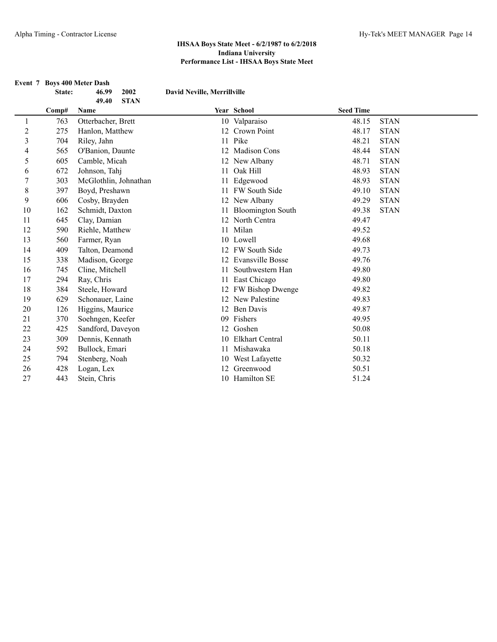#### **Event 7 Boys 400 Meter Dash**

|                | State: | 46.99                 | 2002        | David Neville, Merrillville |                         |                  |             |
|----------------|--------|-----------------------|-------------|-----------------------------|-------------------------|------------------|-------------|
|                |        | 49.40                 | <b>STAN</b> |                             |                         |                  |             |
|                | Comp#  | Name                  |             |                             | Year School             | <b>Seed Time</b> |             |
| 1              | 763    | Otterbacher, Brett    |             |                             | 10 Valparaiso           | 48.15            | <b>STAN</b> |
| $\overline{2}$ | 275    | Hanlon, Matthew       |             | 12                          | Crown Point             | 48.17            | <b>STAN</b> |
| 3              | 704    | Riley, Jahn           |             | 11                          | Pike                    | 48.21            | <b>STAN</b> |
| 4              | 565    | O'Banion, Daunte      |             | 12                          | <b>Madison Cons</b>     | 48.44            | <b>STAN</b> |
| 5              | 605    | Camble, Micah         |             |                             | 12 New Albany           | 48.71            | <b>STAN</b> |
| 6              | 672    | Johnson, Tahj         |             | 11                          | Oak Hill                | 48.93            | <b>STAN</b> |
| 7              | 303    | McGlothlin, Johnathan |             | 11                          | Edgewood                | 48.93            | <b>STAN</b> |
| $\,$ 8 $\,$    | 397    | Boyd, Preshawn        |             |                             | 11 FW South Side        | 49.10            | <b>STAN</b> |
| 9              | 606    | Cosby, Brayden        |             |                             | 12 New Albany           | 49.29            | <b>STAN</b> |
| 10             | 162    | Schmidt, Daxton       |             |                             | 11 Bloomington South    | 49.38            | <b>STAN</b> |
| 11             | 645    | Clay, Damian          |             | 12                          | North Centra            | 49.47            |             |
| 12             | 590    | Riehle, Matthew       |             | 11                          | Milan                   | 49.52            |             |
| 13             | 560    | Farmer, Ryan          |             |                             | 10 Lowell               | 49.68            |             |
| 14             | 409    | Talton, Deamond       |             |                             | 12 FW South Side        | 49.73            |             |
| 15             | 338    | Madison, George       |             | 12                          | <b>Evansville Bosse</b> | 49.76            |             |
| 16             | 745    | Cline, Mitchell       |             | 11                          | Southwestern Han        | 49.80            |             |
| 17             | 294    | Ray, Chris            |             | 11                          | East Chicago            | 49.80            |             |
| 18             | 384    | Steele, Howard        |             |                             | 12 FW Bishop Dwenge     | 49.82            |             |
| 19             | 629    | Schonauer, Laine      |             | 12                          | New Palestine           | 49.83            |             |
| 20             | 126    | Higgins, Maurice      |             |                             | Ben Davis               | 49.87            |             |
| 21             | 370    | Soehngen, Keefer      |             | 09                          | Fishers                 | 49.95            |             |
| 22             | 425    | Sandford, Daveyon     |             | 12                          | Goshen                  | 50.08            |             |
| 23             | 309    | Dennis, Kennath       |             | 10                          | <b>Elkhart Central</b>  | 50.11            |             |
| 24             | 592    | Bullock, Emari        |             | 11                          | Mishawaka               | 50.18            |             |
| 25             | 794    | Stenberg, Noah        |             | 10                          | West Lafayette          | 50.32            |             |
| 26             | 428    | Logan, Lex            |             |                             | Greenwood               | 50.51            |             |
| 27             | 443    | Stein, Chris          |             |                             | 10 Hamilton SE          | 51.24            |             |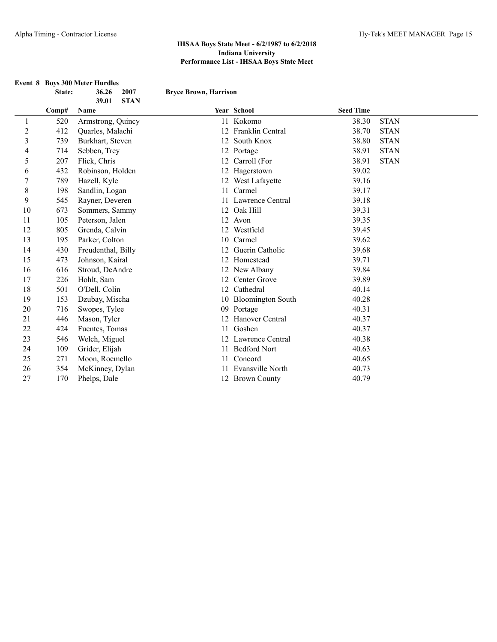|                |        | <b>Event 8 Boys 300 Meter Hurdles</b> |                              |                      |                  |             |
|----------------|--------|---------------------------------------|------------------------------|----------------------|------------------|-------------|
|                | State: | 36.26<br>2007<br>39.01<br><b>STAN</b> | <b>Bryce Brown, Harrison</b> |                      |                  |             |
|                | Comp#  | Name                                  |                              | Year School          | <b>Seed Time</b> |             |
| $\mathbf{1}$   | 520    | Armstrong, Quincy                     | 11                           | Kokomo               | 38.30            | <b>STAN</b> |
| $\overline{c}$ | 412    | Quarles, Malachi                      |                              | 12 Franklin Central  | 38.70            | <b>STAN</b> |
| $\mathfrak{Z}$ | 739    | Burkhart, Steven                      |                              | 12 South Knox        | 38.80            | <b>STAN</b> |
| 4              | 714    | Sebben, Trey                          |                              | 12 Portage           | 38.91            | <b>STAN</b> |
| 5              | 207    | Flick, Chris                          |                              | 12 Carroll (For      | 38.91            | <b>STAN</b> |
| 6              | 432    | Robinson, Holden                      |                              | 12 Hagerstown        | 39.02            |             |
| 7              | 789    | Hazell, Kyle                          |                              | 12 West Lafayette    | 39.16            |             |
| $\,$ $\,$      | 198    | Sandlin, Logan                        | 11                           | Carmel               | 39.17            |             |
| 9              | 545    | Rayner, Deveren                       |                              | 11 Lawrence Central  | 39.18            |             |
| 10             | 673    | Sommers, Sammy                        |                              | 12 Oak Hill          | 39.31            |             |
| 11             | 105    | Peterson, Jalen                       |                              | 12 Avon              | 39.35            |             |
| 12             | 805    | Grenda, Calvin                        |                              | 12 Westfield         | 39.45            |             |
| 13             | 195    | Parker, Colton                        | 10                           | Carmel               | 39.62            |             |
| 14             | 430    | Freudenthal, Billy                    | 12                           | Guerin Catholic      | 39.68            |             |
| 15             | 473    | Johnson, Kairal                       | 12                           | Homestead            | 39.71            |             |
| 16             | 616    | Stroud, DeAndre                       |                              | 12 New Albany        | 39.84            |             |
| 17             | 226    | Hohlt, Sam                            | 12                           | Center Grove         | 39.89            |             |
| 18             | 501    | O'Dell, Colin                         |                              | 12 Cathedral         | 40.14            |             |
| 19             | 153    | Dzubay, Mischa                        |                              | 10 Bloomington South | 40.28            |             |
| 20             | 716    | Swopes, Tylee                         | 09                           | Portage              | 40.31            |             |
| 21             | 446    | Mason, Tyler                          |                              | 12 Hanover Central   | 40.37            |             |
| 22             | 424    | Fuentes, Tomas                        | 11                           | Goshen               | 40.37            |             |
| 23             | 546    | Welch, Miguel                         |                              | Lawrence Central     | 40.38            |             |
| 24             | 109    | Grider, Elijah                        | 11                           | <b>Bedford Nort</b>  | 40.63            |             |
| 25             | 271    | Moon, Roemello                        |                              | Concord              | 40.65            |             |
| 26             | 354    | McKinney, Dylan                       |                              | Evansville North     | 40.73            |             |
| 27             | 170    | Phelps, Dale                          |                              | 12 Brown County      | 40.79            |             |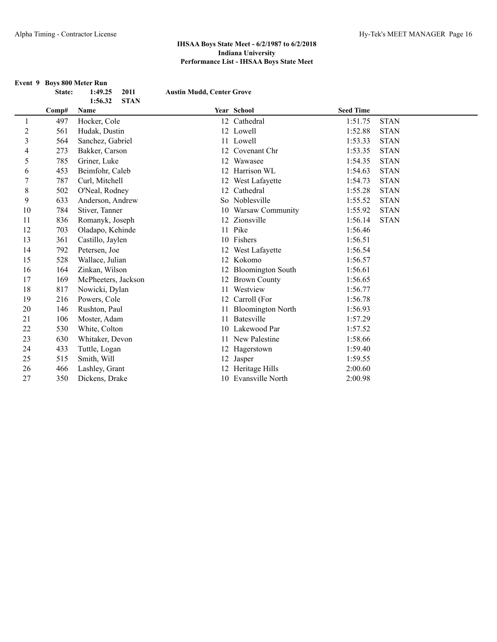|                |        | Event 9 Boys 800 Meter Run     |                                  |                          |                  |             |
|----------------|--------|--------------------------------|----------------------------------|--------------------------|------------------|-------------|
|                | State: | 2011<br>1:49.25                | <b>Austin Mudd, Center Grove</b> |                          |                  |             |
|                | Comp#  | 1:56.32<br><b>STAN</b><br>Name |                                  | Year School              | <b>Seed Time</b> |             |
| 1              | 497    | Hocker, Cole                   |                                  | 12 Cathedral             | 1:51.75          | <b>STAN</b> |
| $\overline{c}$ | 561    | Hudak, Dustin                  |                                  | 12 Lowell                | 1:52.88          | <b>STAN</b> |
| 3              | 564    | Sanchez, Gabriel               |                                  | 11 Lowell                | 1:53.33          | <b>STAN</b> |
| 4              | 273    | Bakker, Carson                 |                                  | 12 Covenant Chr          | 1:53.35          | <b>STAN</b> |
| 5              | 785    | Griner, Luke                   |                                  | 12 Wawasee               | 1:54.35          | <b>STAN</b> |
| 6              | 453    | Beimfohr, Caleb                |                                  | 12 Harrison WL           | 1:54.63          | <b>STAN</b> |
| 7              | 787    | Curl, Mitchell                 | 12                               | West Lafayette           | 1:54.73          | <b>STAN</b> |
| $\,$ 8 $\,$    | 502    | O'Neal, Rodney                 | 12                               | Cathedral                | 1:55.28          | <b>STAN</b> |
| 9              | 633    | Anderson, Andrew               |                                  | So Noblesville           | 1:55.52          | <b>STAN</b> |
| 10             | 784    | Stiver, Tanner                 | 10                               | Warsaw Community         | 1:55.92          | <b>STAN</b> |
| 11             | 836    | Romanyk, Joseph                |                                  | 12 Zionsville            | 1:56.14          | <b>STAN</b> |
| 12             | 703    | Oladapo, Kehinde               |                                  | 11 Pike                  | 1:56.46          |             |
| 13             | 361    | Castillo, Jaylen               |                                  | 10 Fishers               | 1:56.51          |             |
| 14             | 792    | Petersen, Joe                  |                                  | 12 West Lafayette        | 1:56.54          |             |
| 15             | 528    | Wallace, Julian                |                                  | 12 Kokomo                | 1:56.57          |             |
| 16             | 164    | Zinkan, Wilson                 |                                  | <b>Bloomington South</b> | 1:56.61          |             |
| 17             | 169    | McPheeters, Jackson            |                                  | 12 Brown County          | 1:56.65          |             |
| 18             | 817    | Nowicki, Dylan                 | 11                               | Westview                 | 1:56.77          |             |
| 19             | 216    | Powers, Cole                   |                                  | 12 Carroll (For          | 1:56.78          |             |
| 20             | 146    | Rushton, Paul                  | 11                               | <b>Bloomington North</b> | 1:56.93          |             |
| 21             | 106    | Moster, Adam                   | 11                               | Batesville               | 1:57.29          |             |
| 22             | 530    | White, Colton                  |                                  | 10 Lakewood Par          | 1:57.52          |             |
| 23             | 630    | Whitaker, Devon                |                                  | 11 New Palestine         | 1:58.66          |             |
| 24             | 433    | Tuttle, Logan                  | 12                               | Hagerstown               | 1:59.40          |             |
| 25             | 515    | Smith, Will                    |                                  | 12 Jasper                | 1:59.55          |             |
| 26             | 466    | Lashley, Grant                 |                                  | 12 Heritage Hills        | 2:00.60          |             |
| 27             | 350    | Dickens, Drake                 |                                  | 10 Evansville North      | 2:00.98          |             |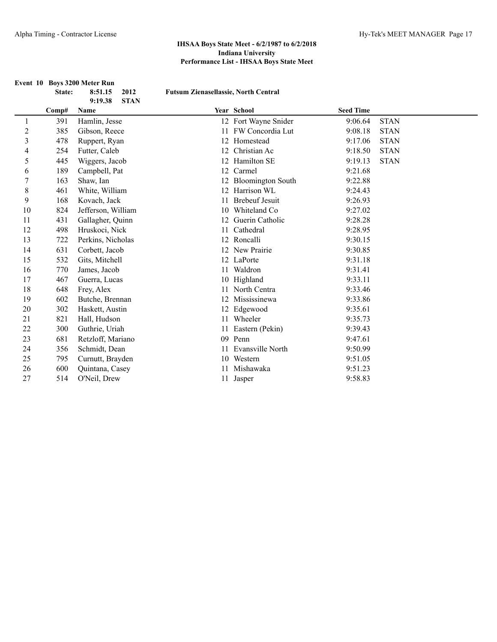|                | State: | Event 10 Boys 3200 Meter Run<br>2012<br>8:51.15 | <b>Futsum Zienasellassie, North Central</b> |                       |                  |             |
|----------------|--------|-------------------------------------------------|---------------------------------------------|-----------------------|------------------|-------------|
|                |        | 9:19.38<br><b>STAN</b>                          |                                             |                       |                  |             |
|                | Comp#  | Name                                            |                                             | Year School           | <b>Seed Time</b> |             |
| 1              | 391    | Hamlin, Jesse                                   |                                             | 12 Fort Wayne Snider  | 9:06.64          | <b>STAN</b> |
| $\overline{c}$ | 385    | Gibson, Reece                                   |                                             | FW Concordia Lut      | 9:08.18          | <b>STAN</b> |
| 3              | 478    | Ruppert, Ryan                                   |                                             | 12 Homestead          | 9:17.06          | <b>STAN</b> |
| 4              | 254    | Futter, Caleb                                   | 12                                          | Christian Ac          | 9:18.50          | <b>STAN</b> |
| 5              | 445    | Wiggers, Jacob                                  |                                             | 12 Hamilton SE        | 9:19.13          | <b>STAN</b> |
| 6              | 189    | Campbell, Pat                                   | 12                                          | Carmel                | 9:21.68          |             |
| 7              | 163    | Shaw, Ian                                       |                                             | 12 Bloomington South  | 9:22.88          |             |
| 8              | 461    | White, William                                  | 12                                          | Harrison WL           | 9:24.43          |             |
| 9              | 168    | Kovach, Jack                                    |                                             | <b>Brebeuf Jesuit</b> | 9:26.93          |             |
| 10             | 824    | Jefferson, William                              | 10                                          | Whiteland Co          | 9:27.02          |             |
| 11             | 431    | Gallagher, Quinn                                | 12                                          | Guerin Catholic       | 9:28.28          |             |
| 12             | 498    | Hruskoci, Nick                                  | 11                                          | Cathedral             | 9:28.95          |             |
| 13             | 722    | Perkins, Nicholas                               | 12                                          | Roncalli              | 9:30.15          |             |
| 14             | 631    | Corbett, Jacob                                  |                                             | 12 New Prairie        | 9:30.85          |             |
| 15             | 532    | Gits, Mitchell                                  |                                             | 12 LaPorte            | 9:31.18          |             |
| 16             | 770    | James, Jacob                                    | 11                                          | Waldron               | 9:31.41          |             |
| 17             | 467    | Guerra, Lucas                                   |                                             | 10 Highland           | 9:33.11          |             |
| 18             | 648    | Frey, Alex                                      | 11                                          | North Centra          | 9:33.46          |             |
| 19             | 602    | Butche, Brennan                                 |                                             | Mississinewa          | 9:33.86          |             |
| 20             | 302    | Haskett, Austin                                 | 12                                          | Edgewood              | 9:35.61          |             |
| 21             | 821    | Hall, Hudson                                    |                                             | 11 Wheeler            | 9:35.73          |             |
| 22             | 300    | Guthrie, Uriah                                  |                                             | 11 Eastern (Pekin)    | 9:39.43          |             |
| 23             | 681    | Retzloff, Mariano                               |                                             | 09 Penn               | 9:47.61          |             |
| 24             | 356    | Schmidt, Dean                                   |                                             | Evansville North      | 9:50.99          |             |
| 25             | 795    | Curnutt, Brayden                                | 10                                          | Western               | 9:51.05          |             |
| 26             | 600    | Quintana, Casey                                 |                                             | Mishawaka             | 9:51.23          |             |
| 27             | 514    | O'Neil, Drew                                    |                                             | 11 Jasper             | 9:58.83          |             |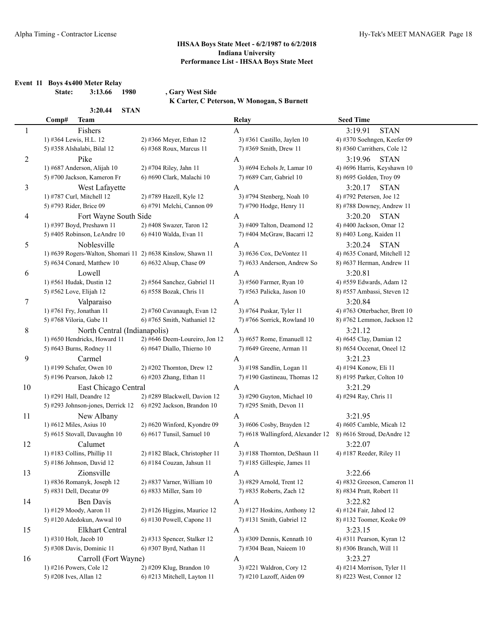**Event 11 Boys 4x400 Meter Relay**

```
State: 3:13.66 1980 , Gary West Side
```
**K Carter, C Peterson, W Monogan, S Burnett**

| 3:20.44 | STAN |
|---------|------|
|---------|------|

|  |  | ter, C Peterson, W Monogan, S Burnet |  |  |
|--|--|--------------------------------------|--|--|
|  |  |                                      |  |  |

|    | Comp#                  | <b>Team</b>                       |                                                             | Relay                             | <b>Seed Time</b>              |
|----|------------------------|-----------------------------------|-------------------------------------------------------------|-----------------------------------|-------------------------------|
| 1  |                        | Fishers                           |                                                             | A                                 | 3:19.91<br><b>STAN</b>        |
|    | 1) #364 Lewis, H.L. 12 |                                   | 2) #366 Meyer, Ethan 12                                     | 3) #361 Castillo, Jaylen 10       | 4) #370 Soehngen, Keefer 09   |
|    |                        | 5) #358 Alshalabi, Bilal 12       | 6) #368 Roux, Marcus 11                                     | 7) #369 Smith, Drew 11            | 8) #360 Carrithers, Cole 12   |
| 2  |                        | Pike                              |                                                             | A                                 | <b>STAN</b><br>3:19.96        |
|    |                        | 1) #687 Anderson, Alijah 10       | 2) #704 Riley, Jahn 11                                      | 3) #694 Echols Jr, Lamar 10       | 4) #696 Harris, Keyshawn 10   |
|    |                        | 5) #700 Jackson, Kameron Fr       | 6) #690 Clark, Malachi 10                                   | 7) #689 Carr, Gabriel 10          | 8) #695 Golden, Troy 09       |
| 3  |                        | West Lafayette                    |                                                             | Α                                 | 3:20.17<br><b>STAN</b>        |
|    |                        | 1) #787 Curl, Mitchell 12         | 2) #789 Hazell, Kyle 12                                     | 3) #794 Stenberg, Noah 10         | 4) #792 Petersen, Joe 12      |
|    |                        | 5) #793 Rider, Brice 09           | 6) #791 Melchi, Cannon 09                                   | 7) #790 Hodge, Henry 11           | 8) #788 Downey, Andrew 11     |
| 4  |                        | Fort Wayne South Side             |                                                             | A                                 | 3:20.20<br><b>STAN</b>        |
|    |                        | 1) #397 Boyd, Preshawn 11         | 2) #408 Swazer, Taron 12                                    | 3) #409 Talton, Deamond 12        | 4) #400 Jackson, Omar 12      |
|    |                        | 5) #405 Robinson, LeAndre 10      | 6) #410 Walda, Evan 11                                      | 7) #404 McGraw, Bacarri 12        | 8) #403 Long, Kaiden 11       |
| 5  |                        | Noblesville                       |                                                             | A                                 | 3:20.24<br><b>STAN</b>        |
|    |                        |                                   | 1) #639 Rogers-Walton, Shomari 11 2) #638 Kinslow, Shawn 11 | 3) #636 Cox, DeVontez 11          | 4) #635 Conard, Mitchell 12   |
|    |                        | 5) #634 Conard, Matthew 10        | 6) #632 Alsup, Chase 09                                     | 7) #633 Anderson, Andrew So       | 8) #637 Herman, Andrew 11     |
| 6  |                        | Lowell                            |                                                             | A                                 | 3:20.81                       |
|    |                        | 1) #561 Hudak, Dustin 12          | 2) #564 Sanchez, Gabriel 11                                 | 3) #560 Farmer, Ryan 10           | 4) #559 Edwards, Adam 12      |
|    |                        | 5) #562 Love, Elijah 12           | 6) #558 Bozak, Chris 11                                     | 7) #563 Palicka, Jason 10         | 8) #557 Ambassi, Steven 12    |
| 7  |                        | Valparaiso                        |                                                             | A                                 | 3:20.84                       |
|    |                        | 1) #761 Fry, Jonathan 11          | 2) #760 Cavanaugh, Evan 12                                  | 3) #764 Puskar, Tyler 11          | 4) #763 Otterbacher, Brett 10 |
|    |                        | 5) #768 Viloria, Gabe 11          | $6$ ) #765 Smith, Nathaniel 12                              | 7) #766 Sorrick, Rowland 10       | 8) #762 Lemmon, Jackson 12    |
| 8  |                        | North Central (Indianapolis)      |                                                             | A                                 | 3:21.12                       |
|    |                        | 1) #650 Hendricks, Howard 11      | 2) #646 Deem-Loureiro, Jon 12                               | 3) #657 Rome, Emanuell 12         | 4) #645 Clay, Damian 12       |
|    |                        | 5) #643 Burns, Rodney 11          | 6) #647 Diallo, Thierno 10                                  | 7) #649 Greene, Arman 11          | 8) #654 Occenat, Oneel 12     |
| 9  |                        | Carmel                            |                                                             | A                                 | 3:21.23                       |
|    |                        | 1) #199 Schafer, Owen 10          | $2)$ #202 Thornton, Drew 12                                 | 3) #198 Sandlin, Logan 11         | 4) #194 Konow, Eli 11         |
|    |                        | 5) #196 Pearson, Jakob 12         | 6) #203 Zhang, Ethan 11                                     | 7) #190 Gastineau, Thomas 12      | 8) #195 Parker, Colton 10     |
| 10 |                        | East Chicago Central              |                                                             | A                                 | 3:21.29                       |
|    |                        | 1) #291 Hall, Deandre 12          | 2) #289 Blackwell, Davion 12                                | 3) #290 Guyton, Michael 10        | 4) #294 Ray, Chris 11         |
|    |                        | 5) #293 Johnson-jones, Derrick 12 | 6) #292 Jackson, Brandon 10                                 | 7) #295 Smith, Devon 11           |                               |
| 11 |                        | New Albany                        |                                                             | A                                 | 3:21.95                       |
|    |                        | 1) #612 Miles, Asius 10           | 2) #620 Winford, Kyondre 09                                 | 3) #606 Cosby, Brayden 12         | 4) #605 Camble, Micah 12      |
|    |                        | 5) #615 Stovall, Davaughn 10      | $6$ ) #617 Tunsil, Samuel 10                                | 7) #618 Wallingford, Alexander 12 | 8) #616 Stroud, DeAndre 12    |
| 12 |                        | Calumet                           |                                                             | A                                 | 3:22.07                       |
|    |                        | 1) #183 Collins, Phillip 11       | 2) #182 Black, Christopher 11                               | 3) #188 Thornton, DeShaun 11      | 4) #187 Reeder, Riley 11      |
|    |                        | 5) #186 Johnson, David 12         | $6$ ) #184 Couzan, Jahsun 11                                | 7) #185 Gillespie, James 11       |                               |
| 13 |                        | Zionsville                        |                                                             | A                                 | 3:22.66                       |
|    |                        | 1) #836 Romanyk, Joseph 12        | 2) #837 Varner, William 10                                  | 3) #829 Arnold, Trent 12          | 4) #832 Greeson, Cameron 11   |
|    |                        | 5) #831 Dell, Decatur 09          | 6) #833 Miller, Sam 10                                      | 7) #835 Roberts, Zach 12          | 8) #834 Pratt, Robert 11      |
| 14 |                        | <b>Ben Davis</b>                  |                                                             | A                                 | 3:22.82                       |
|    |                        | 1) #129 Moody, Aaron 11           | 2) #126 Higgins, Maurice 12                                 | 3) #127 Hoskins, Anthony 12       | 4) #124 Fair, Jahod 12        |
|    |                        | 5) #120 Adedokun, Awwal 10        | $6$ ) #130 Powell, Capone 11                                | 7) #131 Smith, Gabriel 12         | 8) #132 Toomer, Keoke 09      |
| 15 |                        | Elkhart Central                   |                                                             | A                                 | 3:23.15                       |
|    | 1) #310 Holt, Jacob 10 |                                   | 2) #313 Spencer, Stalker 12                                 | 3) #309 Dennis, Kennath 10        | 4) #311 Pearson, Kyran 12     |
|    |                        | 5) #308 Davis, Dominic 11         | 6) #307 Byrd, Nathan 11                                     | 7) #304 Bean, Naieem 10           | 8) #306 Branch, Will 11       |
| 16 |                        | Carroll (Fort Wayne)              |                                                             | A                                 | 3:23.27                       |
|    |                        | 1) #216 Powers, Cole 12           | 2) #209 Klug, Brandon 10                                    | 3) #221 Waldron, Cory 12          | 4) #214 Morrison, Tyler 11    |
|    | 5) #208 Ives, Allan 12 |                                   | 6) #213 Mitchell, Layton 11                                 | 7) #210 Lazoff, Aiden 09          | 8) #223 West, Connor 12       |
|    |                        |                                   |                                                             |                                   |                               |